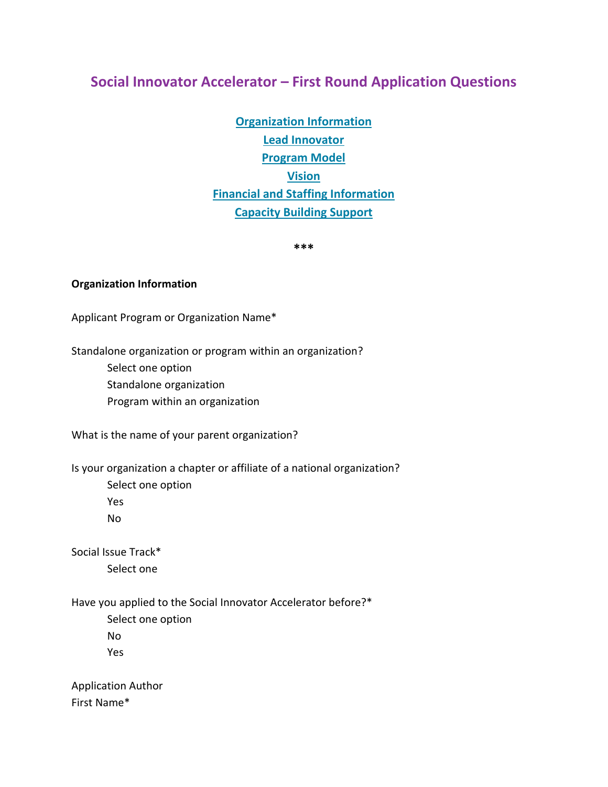# **Social Innovator Accelerator – First Round Application Questions**

**[Organization Information](#page-0-0) [Lead Innovator](#page-2-0) [Program Model](#page-2-1) Vision [Financial and Staffing Information](#page-3-0) [Capacity Building Support](#page-4-0)**

**\*\*\***

#### <span id="page-0-0"></span>**Organization Information**

Applicant Program or Organization Name\*

Standalone organization or program within an organization?

- Select one option
- Standalone organization
- Program within an organization

What is the name of your parent organization?

Is your organization a chapter or affiliate of a national organization?

Select one option

Yes

No

Social Issue Track\* Select one

Have you applied to the Social Innovator Accelerator before?\*

Select one option No Yes

Application Author First Name\*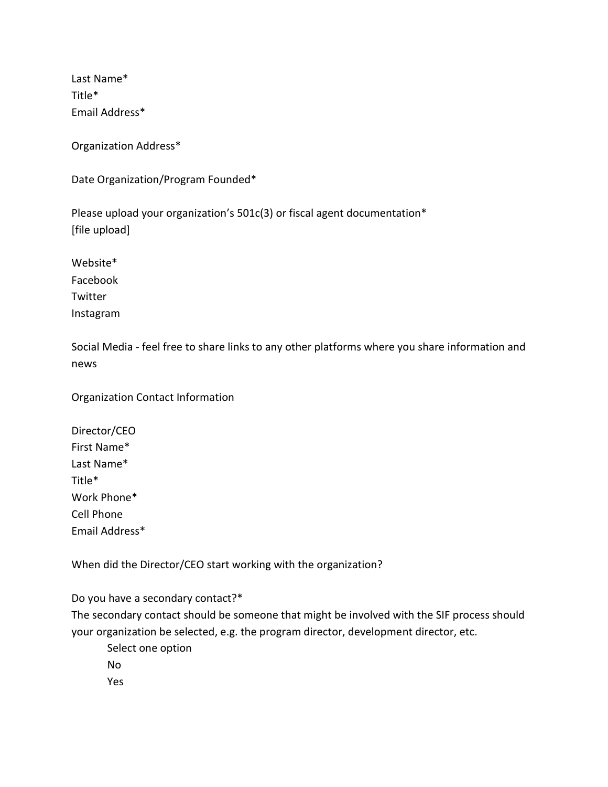Last Name\* Title\* Email Address\*

Organization Address\*

Date Organization/Program Founded\*

Please upload your organization's 501c(3) or fiscal agent documentation\* [file upload]

Website\* Facebook Twitter Instagram

Social Media - feel free to share links to any other platforms where you share information and news

Organization Contact Information

Director/CEO First Name\* Last Name\* Title\* Work Phone\* Cell Phone Email Address\*

When did the Director/CEO start working with the organization?

Do you have a secondary contact?\*

The secondary contact should be someone that might be involved with the SIF process should your organization be selected, e.g. the program director, development director, etc.

Select one option

No

Yes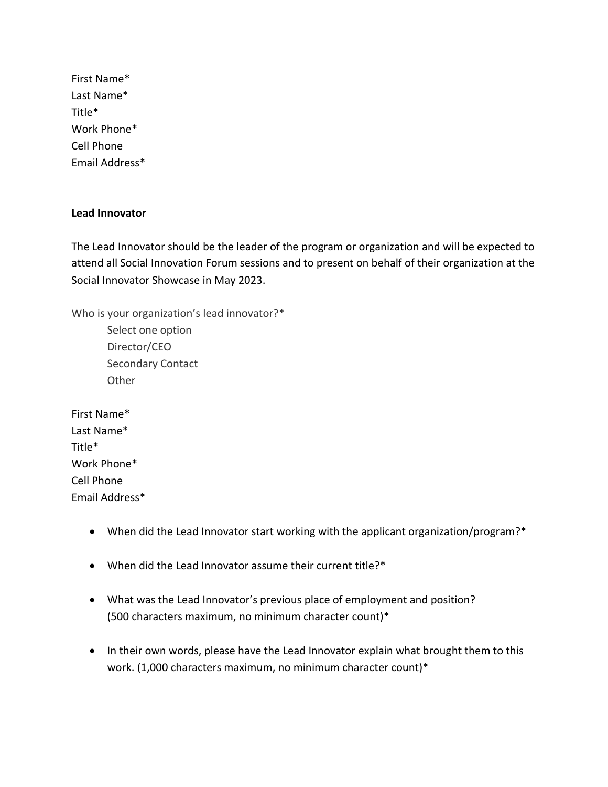First Name\* Last Name\* Title\* Work Phone\* Cell Phone Email Address\*

#### <span id="page-2-0"></span>**Lead Innovator**

The Lead Innovator should be the leader of the program or organization and will be expected to attend all Social Innovation Forum sessions and to present on behalf of their organization at the Social Innovator Showcase in May 2023.

Who is your organization's lead innovator?\*

Select one option Director/CEO Secondary Contact **Other** 

First Name\* Last Name\* Title\* Work Phone\* Cell Phone Email Address\*

- When did the Lead Innovator start working with the applicant organization/program?\*
- When did the Lead Innovator assume their current title?\*
- What was the Lead Innovator's previous place of employment and position? (500 characters maximum, no minimum character count)\*
- <span id="page-2-1"></span>• In their own words, please have the Lead Innovator explain what brought them to this work. (1,000 characters maximum, no minimum character count)\*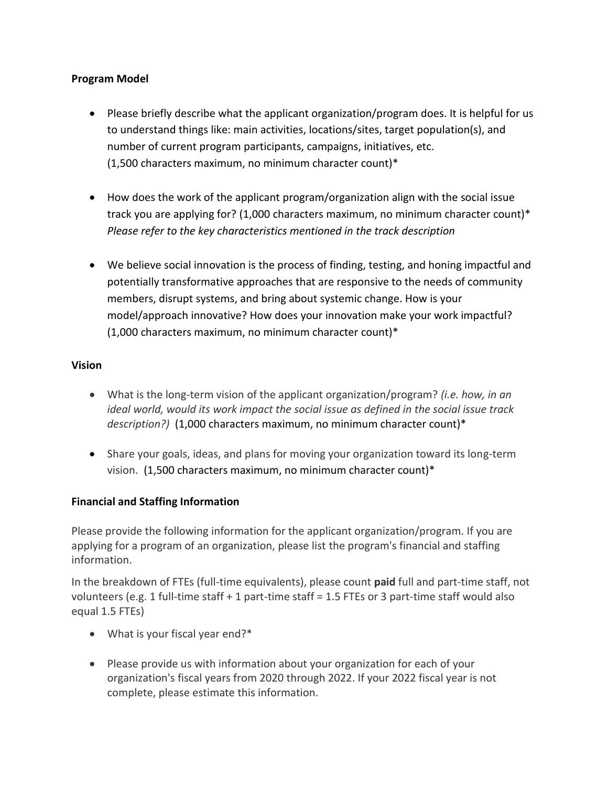### **Program Model**

- Please briefly describe what the applicant organization/program does. It is helpful for us to understand things like: main activities, locations/sites, target population(s), and number of current program participants, campaigns, initiatives, etc. (1,500 characters maximum, no minimum character count)\*
- How does the work of the applicant program/organization align with the social issue track you are applying for? (1,000 characters maximum, no minimum character count)\* *Please refer to the key characteristics mentioned in the track description*
- We believe social innovation is the process of finding, testing, and honing impactful and potentially transformative approaches that are responsive to the needs of community members, disrupt systems, and bring about systemic change. How is your model/approach innovative? How does your innovation make your work impactful? (1,000 characters maximum, no minimum character count)\*

### **Vision**

- What is the long-term vision of the applicant organization/program? *(i.e. how, in an ideal world, would its work impact the social issue as defined in the social issue track description?)* (1,000 characters maximum, no minimum character count)\*
- Share your goals, ideas, and plans for moving your organization toward its long-term vision. (1,500 characters maximum, no minimum character count)\*

# <span id="page-3-0"></span>**Financial and Staffing Information**

Please provide the following information for the applicant organization/program. If you are applying for a program of an organization, please list the program's financial and staffing information.

In the breakdown of FTEs (full-time equivalents), please count **paid** full and part-time staff, not volunteers (e.g. 1 full-time staff + 1 part-time staff = 1.5 FTEs or 3 part-time staff would also equal 1.5 FTEs)

- What is your fiscal year end?\*
- Please provide us with information about your organization for each of your organization's fiscal years from 2020 through 2022. If your 2022 fiscal year is not complete, please estimate this information.